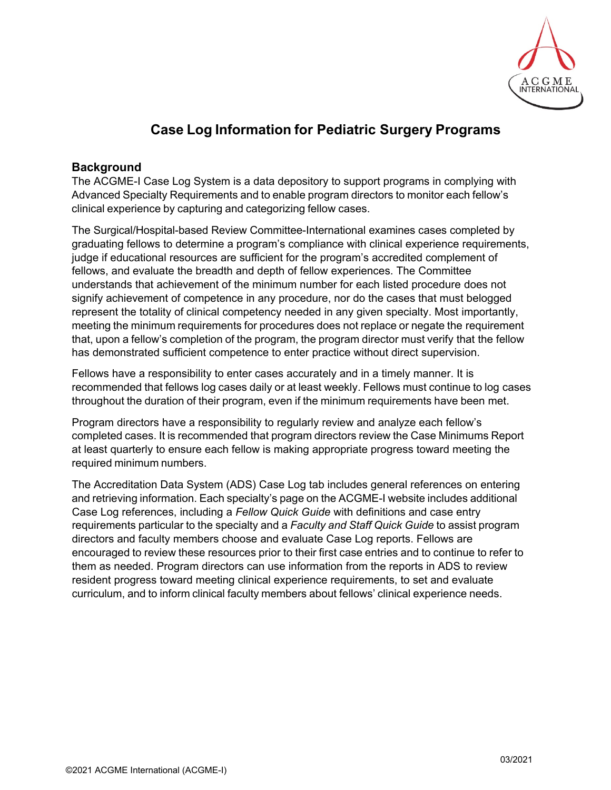

## **Case Log Information for Pediatric Surgery Programs**

### **Background**

The ACGME-I Case Log System is a data depository to support programs in complying with Advanced Specialty Requirements and to enable program directors to monitor each fellow's clinical experience by capturing and categorizing fellow cases.

The Surgical/Hospital-based Review Committee-International examines cases completed by graduating fellows to determine a program's compliance with clinical experience requirements, judge if educational resources are sufficient for the program's accredited complement of fellows, and evaluate the breadth and depth of fellow experiences. The Committee understands that achievement of the minimum number for each listed procedure does not signify achievement of competence in any procedure, nor do the cases that must belogged represent the totality of clinical competency needed in any given specialty. Most importantly, meeting the minimum requirements for procedures does not replace or negate the requirement that, upon a fellow's completion of the program, the program director must verify that the fellow has demonstrated sufficient competence to enter practice without direct supervision.

Fellows have a responsibility to enter cases accurately and in a timely manner. It is recommended that fellows log cases daily or at least weekly. Fellows must continue to log cases throughout the duration of their program, even if the minimum requirements have been met.

Program directors have a responsibility to regularly review and analyze each fellow's completed cases. It is recommended that program directors review the Case Minimums Report at least quarterly to ensure each fellow is making appropriate progress toward meeting the required minimum numbers.

The Accreditation Data System (ADS) Case Log tab includes general references on entering and retrieving information. Each specialty's page on the ACGME-I website includes additional Case Log references, including a *Fellow Quick Guide* with definitions and case entry requirements particular to the specialty and a *Faculty and Staff Quick Guide* to assist program directors and faculty members choose and evaluate Case Log reports. Fellows are encouraged to review these resources prior to their first case entries and to continue to refer to them as needed. Program directors can use information from the reports in ADS to review resident progress toward meeting clinical experience requirements, to set and evaluate curriculum, and to inform clinical faculty members about fellows' clinical experience needs.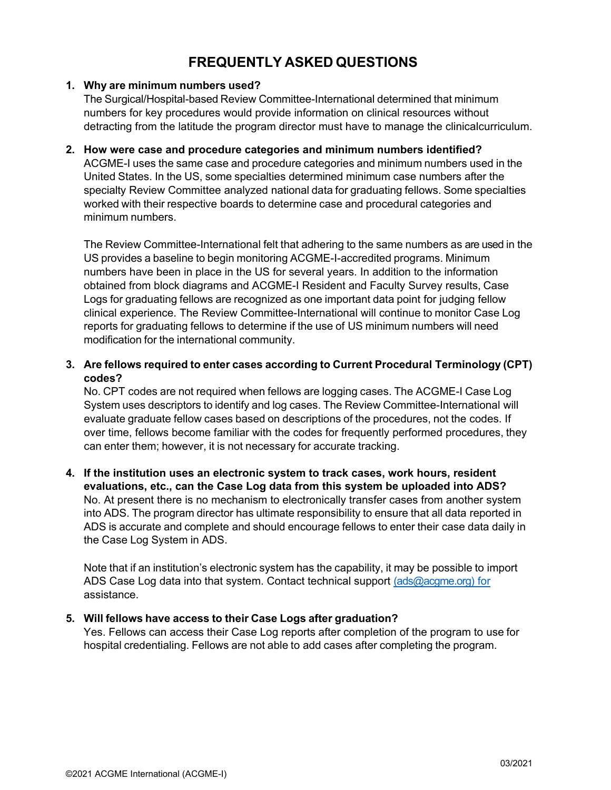# **FREQUENTLY ASKED QUESTIONS**

#### **1. Why are minimum numbers used?**

The Surgical/Hospital-based Review Committee-International determined that minimum numbers for key procedures would provide information on clinical resources without detracting from the latitude the program director must have to manage the clinicalcurriculum.

#### **2. How were case and procedure categories and minimum numbers identified?**

ACGME-I uses the same case and procedure categories and minimum numbers used in the United States. In the US, some specialties determined minimum case numbers after the specialty Review Committee analyzed national data for graduating fellows. Some specialties worked with their respective boards to determine case and procedural categories and minimum numbers.

The Review Committee-International felt that adhering to the same numbers as are used in the US provides a baseline to begin monitoring ACGME-I-accredited programs. Minimum numbers have been in place in the US for several years. In addition to the information obtained from block diagrams and ACGME-I Resident and Faculty Survey results, Case Logs for graduating fellows are recognized as one important data point for judging fellow clinical experience. The Review Committee-International will continue to monitor Case Log reports for graduating fellows to determine if the use of US minimum numbers will need modification for the international community.

**3. Are fellows required to enter cases according to Current Procedural Terminology (CPT) codes?**

No. CPT codes are not required when fellows are logging cases. The ACGME-I Case Log System uses descriptors to identify and log cases. The Review Committee-International will evaluate graduate fellow cases based on descriptions of the procedures, not the codes. If over time, fellows become familiar with the codes for frequently performed procedures, they can enter them; however, it is not necessary for accurate tracking.

**4. If the institution uses an electronic system to track cases, work hours, resident evaluations, etc., can the Case Log data from this system be uploaded into ADS?** No. At present there is no mechanism to electronically transfer cases from another system into ADS. The program director has ultimate responsibility to ensure that all data reported in ADS is accurate and complete and should encourage fellows to enter their case data daily in the Case Log System in ADS.

Note that if an institution's electronic system has the capability, it may be possible to import ADS Case Log data into that system. Contact technical support [\(ads@acgme.org\)](mailto:(ads@acgme.org) for assistance.

#### **5. Will fellows have access to their Case Logs after graduation?**

Yes. Fellows can access their Case Log reports after completion of the program to use for hospital credentialing. Fellows are not able to add cases after completing the program.